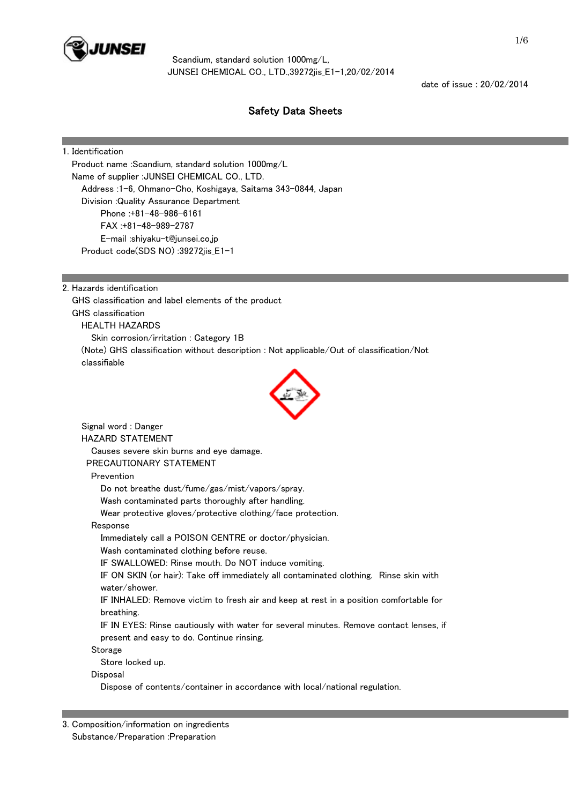

date of issue : 20/02/2014

# Safety Data Sheets

## 1. Identification

 Product name :Scandium, standard solution 1000mg/L Name of supplier :JUNSEI CHEMICAL CO., LTD. Address :1-6, Ohmano-Cho, Koshigaya, Saitama 343-0844, Japan Division :Quality Assurance Department Phone :+81-48-986-6161 FAX :+81-48-989-2787 E-mail :shiyaku-t@junsei.co.jp Product code(SDS NO) :39272jis\_E1-1

2. Hazards identification

 GHS classification and label elements of the product GHS classification HEALTH HAZARDS Skin corrosion/irritation : Category 1B (Note) GHS classification without description : Not applicable/Out of classification/Not classifiable



 Signal word : Danger HAZARD STATEMENT Causes severe skin burns and eye damage. PRECAUTIONARY STATEMENT Prevention Do not breathe dust/fume/gas/mist/vapors/spray. Wash contaminated parts thoroughly after handling. Wear protective gloves/protective clothing/face protection. Response Immediately call a POISON CENTRE or doctor/physician. Wash contaminated clothing before reuse. IF SWALLOWED: Rinse mouth. Do NOT induce vomiting. IF ON SKIN (or hair): Take off immediately all contaminated clothing. Rinse skin with water/shower. IF INHALED: Remove victim to fresh air and keep at rest in a position comfortable for breathing. IF IN EYES: Rinse cautiously with water for several minutes. Remove contact lenses, if present and easy to do. Continue rinsing. Storage Store locked up. Disposal Dispose of contents/container in accordance with local/national regulation.

3. Composition/information on ingredients Substance/Preparation :Preparation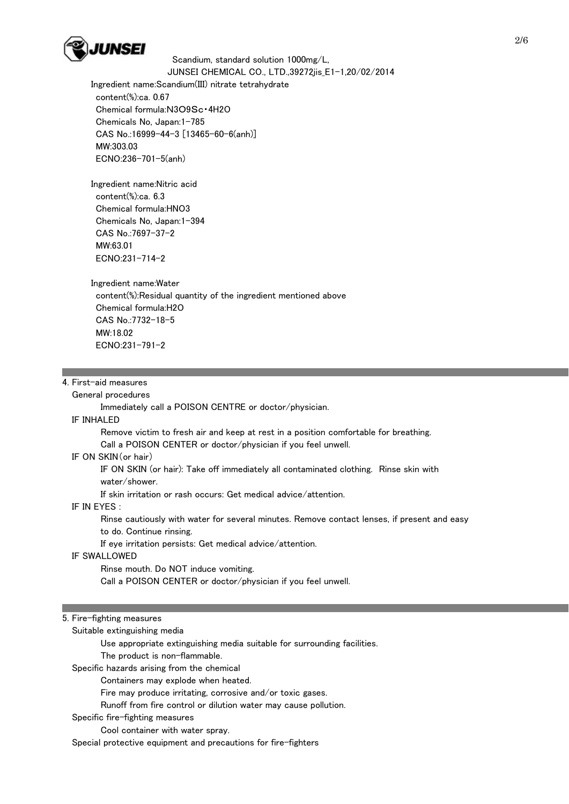

 Ingredient name:Scandium(III) nitrate tetrahydrate content(%):ca. 0.67 Chemical formula:N3O9Sc・4H2O Chemicals No, Japan:1-785 CAS No.:16999-44-3 [13465-60-6(anh)] MW:303.03 ECNO:236-701-5(anh)

 Ingredient name:Nitric acid content(%):ca. 6.3 Chemical formula:HNO3 Chemicals No, Japan:1-394 CAS No.:7697-37-2 MW:63.01 ECNO:231-714-2

 Ingredient name:Water content(%):Residual quantity of the ingredient mentioned above Chemical formula:H2O CAS No.:7732-18-5 MW:18.02 ECNO:231-791-2

## 4. First-aid measures

#### General procedures

Immediately call a POISON CENTRE or doctor/physician.

#### IF INHALED

 Remove victim to fresh air and keep at rest in a position comfortable for breathing. Call a POISON CENTER or doctor/physician if you feel unwell.

#### IF ON SKIN(or hair)

 IF ON SKIN (or hair): Take off immediately all contaminated clothing. Rinse skin with water/shower.

If skin irritation or rash occurs: Get medical advice/attention.

## IF IN EYES :

 Rinse cautiously with water for several minutes. Remove contact lenses, if present and easy to do. Continue rinsing.

If eye irritation persists: Get medical advice/attention.

## IF SWALLOWED

Rinse mouth. Do NOT induce vomiting.

Call a POISON CENTER or doctor/physician if you feel unwell.

#### 5. Fire-fighting measures

Suitable extinguishing media

Use appropriate extinguishing media suitable for surrounding facilities.

The product is non-flammable.

Specific hazards arising from the chemical

Containers may explode when heated.

Fire may produce irritating, corrosive and/or toxic gases.

Runoff from fire control or dilution water may cause pollution.

Specific fire-fighting measures

Cool container with water spray.

Special protective equipment and precautions for fire-fighters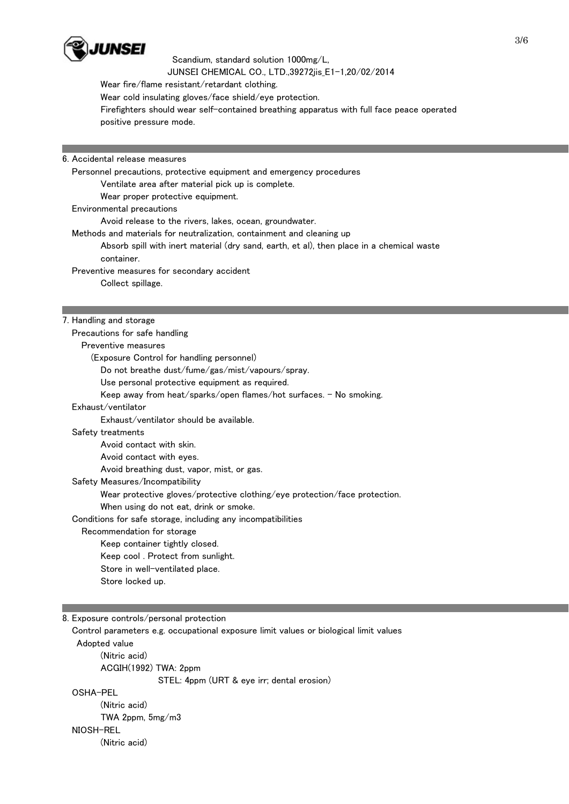

Wear fire/flame resistant/retardant clothing.

Wear cold insulating gloves/face shield/eye protection.

 Firefighters should wear self-contained breathing apparatus with full face peace operated positive pressure mode.

6. Accidental release measures

 Personnel precautions, protective equipment and emergency procedures Ventilate area after material pick up is complete. Wear proper protective equipment. Environmental precautions Avoid release to the rivers, lakes, ocean, groundwater. Methods and materials for neutralization, containment and cleaning up Absorb spill with inert material (dry sand, earth, et al), then place in a chemical waste container. Preventive measures for secondary accident Collect spillage. 7. Handling and storage

 Precautions for safe handling Preventive measures (Exposure Control for handling personnel) Do not breathe dust/fume/gas/mist/vapours/spray. Use personal protective equipment as required. Keep away from heat/sparks/open flames/hot surfaces.  $-$  No smoking. Exhaust/ventilator Exhaust/ventilator should be available. Safety treatments Avoid contact with skin. Avoid contact with eyes. Avoid breathing dust, vapor, mist, or gas. Safety Measures/Incompatibility Wear protective gloves/protective clothing/eye protection/face protection. When using do not eat, drink or smoke. Conditions for safe storage, including any incompatibilities Recommendation for storage Keep container tightly closed. Keep cool . Protect from sunlight. Store in well-ventilated place. Store locked up.

8. Exposure controls/personal protection

 Control parameters e.g. occupational exposure limit values or biological limit values Adopted value (Nitric acid) ACGIH(1992) TWA: 2ppm STEL: 4ppm (URT & eye irr; dental erosion) OSHA-PEL (Nitric acid) TWA 2ppm, 5mg/m3 NIOSH-REL (Nitric acid)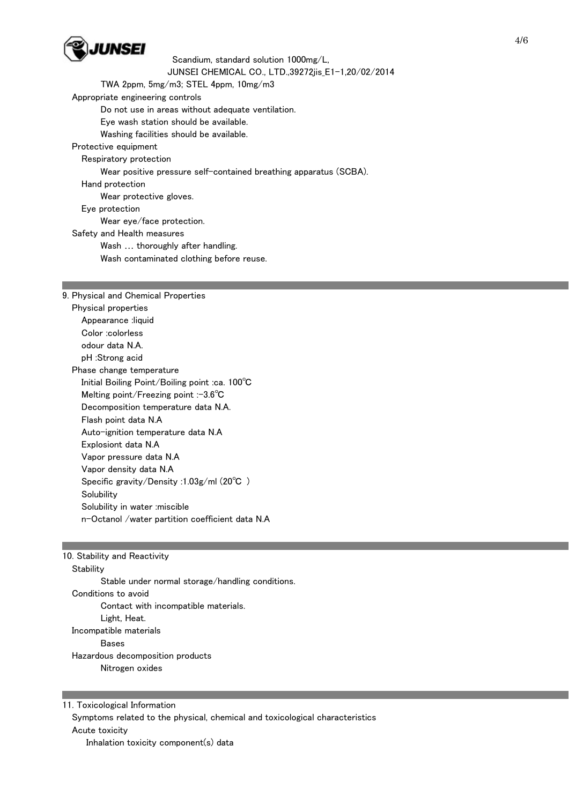

 Scandium, standard solution 1000mg/L, JUNSEI CHEMICAL CO., LTD.,39272jis\_E1-1,20/02/2014 TWA 2ppm, 5mg/m3; STEL 4ppm, 10mg/m3 Appropriate engineering controls Do not use in areas without adequate ventilation. Eye wash station should be available. Washing facilities should be available. Protective equipment Respiratory protection Wear positive pressure self-contained breathing apparatus (SCBA). Hand protection Wear protective gloves. Eye protection Wear eye/face protection. Safety and Health measures Wash … thoroughly after handling. Wash contaminated clothing before reuse.

### 9. Physical and Chemical Properties

 Physical properties Appearance :liquid Color :colorless odour data N.A. pH :Strong acid Phase change temperature Initial Boiling Point/Boiling point :ca. 100℃ Melting point/Freezing point :-3.6℃ Decomposition temperature data N.A. Flash point data N.A Auto-ignition temperature data N.A Explosiont data N.A Vapor pressure data N.A Vapor density data N.A Specific gravity/Density :1.03g/ml (20℃ ) **Solubility**  Solubility in water :miscible n-Octanol /water partition coefficient data N.A

## 10. Stability and Reactivity

**Stability**  Stable under normal storage/handling conditions. Conditions to avoid Contact with incompatible materials. Light, Heat. Incompatible materials Bases Hazardous decomposition products Nitrogen oxides

11. Toxicological Information Symptoms related to the physical, chemical and toxicological characteristics Acute toxicity Inhalation toxicity component(s) data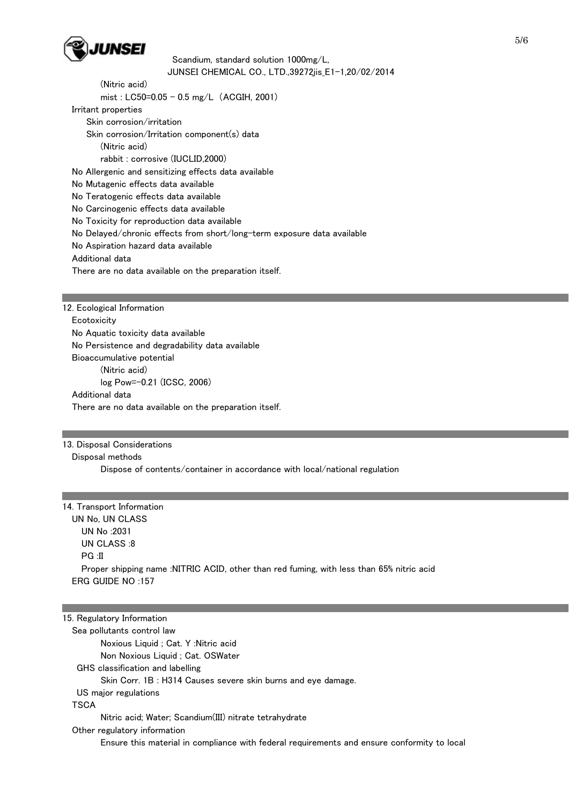

 (Nitric acid) mist : LC50=0.05 - 0.5 mg/L (ACGIH, 2001) Irritant properties Skin corrosion/irritation Skin corrosion/Irritation component(s) data (Nitric acid) rabbit : corrosive (IUCLID,2000) No Allergenic and sensitizing effects data available No Mutagenic effects data available No Teratogenic effects data available No Carcinogenic effects data available No Toxicity for reproduction data available No Delayed/chronic effects from short/long-term exposure data available No Aspiration hazard data available Additional data There are no data available on the preparation itself.

12. Ecological Information **Ecotoxicity**  No Aquatic toxicity data available No Persistence and degradability data available Bioaccumulative potential (Nitric acid) log Pow=-0.21 (ICSC, 2006) Additional data There are no data available on the preparation itself.

13. Disposal Considerations Disposal methods Dispose of contents/container in accordance with local/national regulation

| 14. Transport Information                                                                |  |
|------------------------------------------------------------------------------------------|--|
| UN No. UN CLASS                                                                          |  |
| UN No :2031                                                                              |  |
| UN CLASS:8                                                                               |  |
| $PG \cdot II$                                                                            |  |
| Proper shipping name :NITRIC ACID, other than red fuming, with less than 65% nitric acid |  |
| ERG GUIDE NO $:157$                                                                      |  |
|                                                                                          |  |

## 15. Regulatory Information Sea pollutants control law Noxious Liquid ; Cat. Y :Nitric acid Non Noxious Liquid ; Cat. OSWater GHS classification and labelling Skin Corr. 1B : H314 Causes severe skin burns and eye damage. US major regulations **TSCA**  Nitric acid; Water; Scandium(III) nitrate tetrahydrate Other regulatory information Ensure this material in compliance with federal requirements and ensure conformity to local